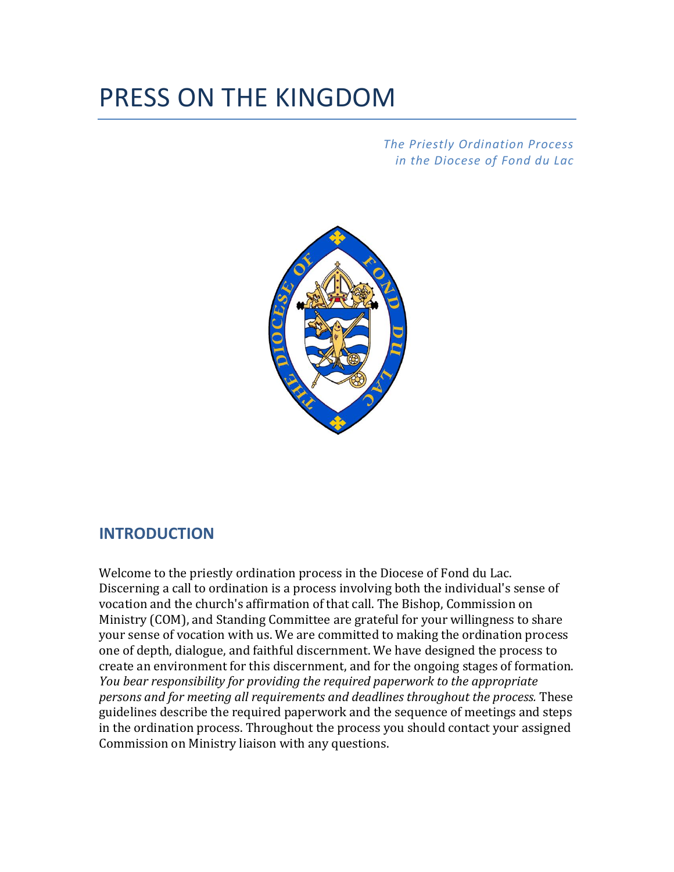# PRESS ON THE KINGDOM

*The Priestly Ordination Process in the Diocese of Fond du Lac*



# **INTRODUCTION**

Welcome to the priestly ordination process in the Diocese of Fond du Lac. Discerning a call to ordination is a process involving both the individual's sense of vocation and the church's affirmation of that call. The Bishop, Commission on Ministry (COM), and Standing Committee are grateful for your willingness to share your sense of vocation with us. We are committed to making the ordination process one of depth, dialogue, and faithful discernment. We have designed the process to create an environment for this discernment, and for the ongoing stages of formation. *You bear responsibility for providing the required paperwork to the appropriate persons and for meeting all requirements and deadlines throughout the process.* These guidelines describe the required paperwork and the sequence of meetings and steps in the ordination process. Throughout the process you should contact your assigned Commission on Ministry liaison with any questions.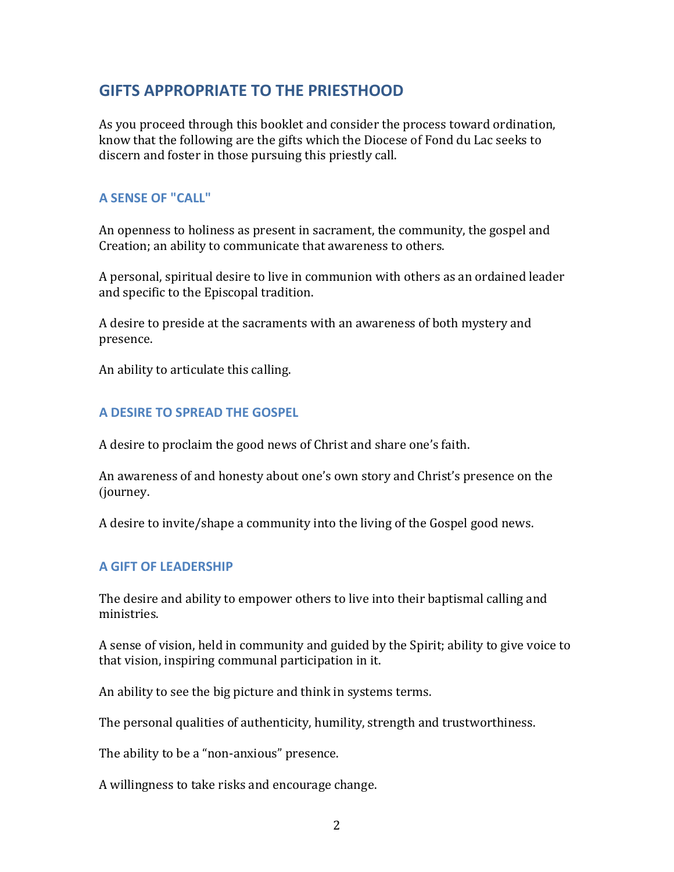# **GIFTS APPROPRIATE TO THE PRIESTHOOD**

As you proceed through this booklet and consider the process toward ordination, know that the following are the gifts which the Diocese of Fond du Lac seeks to discern and foster in those pursuing this priestly call.

#### **A SENSE OF "CALL"**

An openness to holiness as present in sacrament, the community, the gospel and Creation; an ability to communicate that awareness to others.

A personal, spiritual desire to live in communion with others as an ordained leader and specific to the Episcopal tradition.

A desire to preside at the sacraments with an awareness of both mystery and presence.

An ability to articulate this calling.

#### **A DESIRE TO SPREAD THE GOSPEL**

A desire to proclaim the good news of Christ and share one's faith.

An awareness of and honesty about one's own story and Christ's presence on the journey.

A desire to invite/shape a community into the living of the Gospel good news.

#### **A GIFT OF LEADERSHIP**

The desire and ability to empower others to live into their baptismal calling and ministries.

A sense of vision, held in community and guided by the Spirit; ability to give voice to that vision, inspiring communal participation in it.

An ability to see the big picture and think in systems terms.

The personal qualities of authenticity, humility, strength and trustworthiness.

The ability to be a "non-anxious" presence.

A willingness to take risks and encourage change.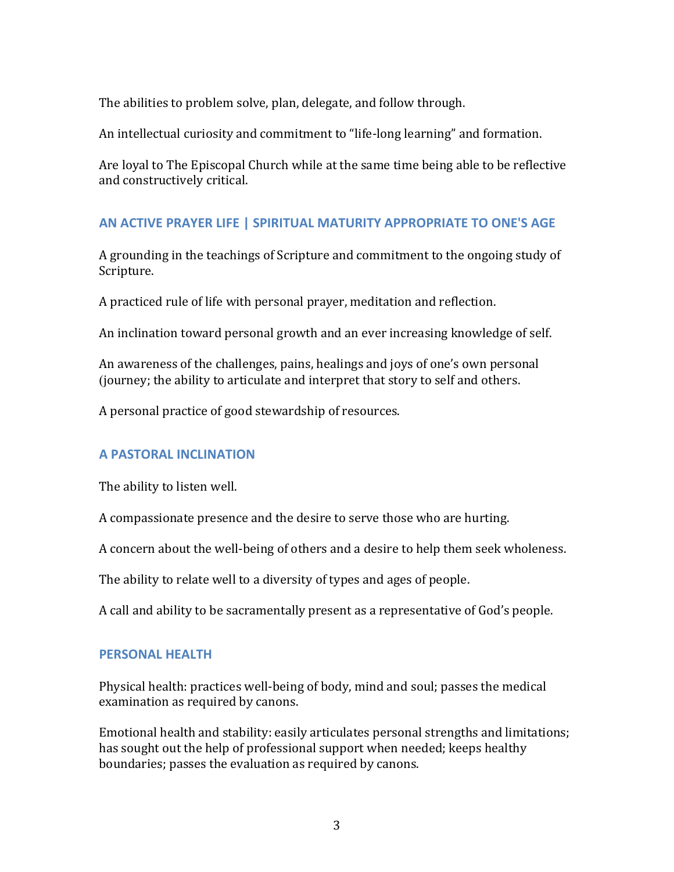The abilities to problem solve, plan, delegate, and follow through.

An intellectual curiosity and commitment to "life-long learning" and formation.

Are loyal to The Episcopal Church while at the same time being able to be reflective and constructively critical.

# **AN ACTIVE PRAYER LIFE | SPIRITUAL MATURITY APPROPRIATE TO ONE'S AGE**

A grounding in the teachings of Scripture and commitment to the ongoing study of Scripture.

A practiced rule of life with personal prayer, meditation and reflection.

An inclination toward personal growth and an ever increasing knowledge of self.

An awareness of the challenges, pains, healings and joys of one's own personal journey; the ability to articulate and interpret that story to self and others.

A personal practice of good stewardship of resources.

## **A PASTORAL INCLINATION**

The ability to listen well.

A compassionate presence and the desire to serve those who are hurting.

A concern about the well-being of others and a desire to help them seek wholeness.

The ability to relate well to a diversity of types and ages of people.

A call and ability to be sacramentally present as a representative of God's people.

#### **PERSONAL HEALTH**

Physical health: practices well-being of body, mind and soul; passes the medical examination as required by canons.

Emotional health and stability: easily articulates personal strengths and limitations; has sought out the help of professional support when needed; keeps healthy boundaries; passes the evaluation as required by canons.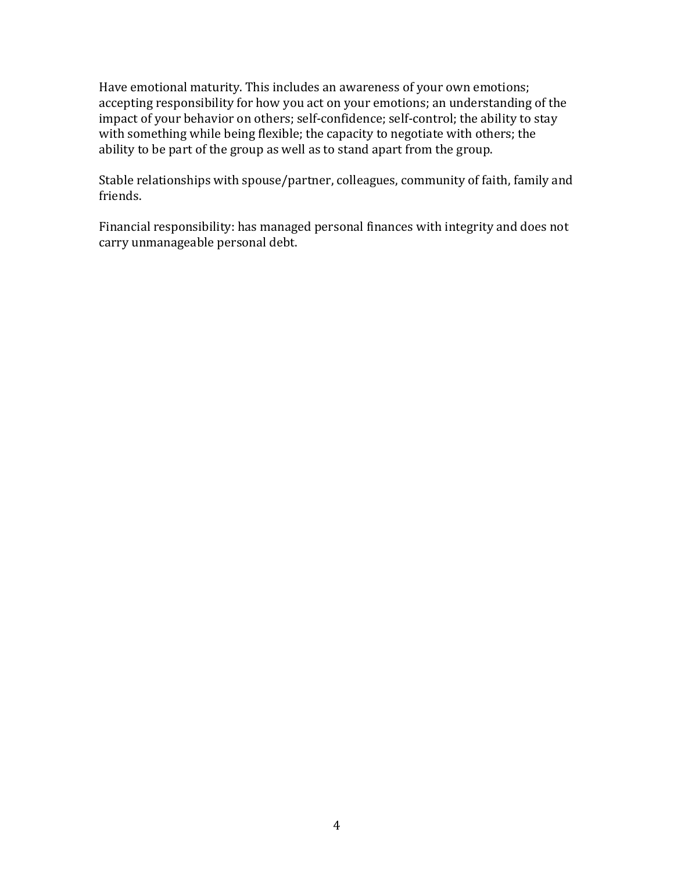Have emotional maturity. This includes an awareness of your own emotions; accepting responsibility for how you act on your emotions; an understanding of the impact of your behavior on others; self-confidence; self-control; the ability to stay with something while being flexible; the capacity to negotiate with others; the ability to be part of the group as well as to stand apart from the group.

Stable relationships with spouse/partner, colleagues, community of faith, family and friends.

Financial responsibility: has managed personal finances with integrity and does not carry unmanageable personal debt.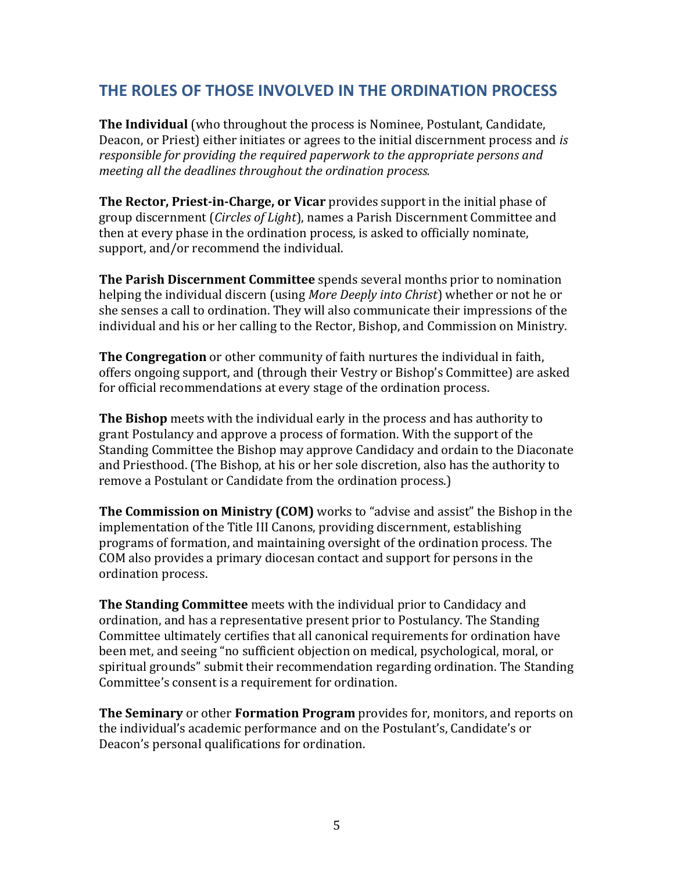# **THE ROLES OF THOSE INVOLVED IN THE ORDINATION PROCESS**

**The Individual** (who throughout the process is Nominee, Postulant, Candidate, Deacon, or Priest) either initiates or agrees to the initial discernment process and *is responsible for providing the required paperwork to the appropriate persons and meeting all the deadlines throughout the ordination process.*

**The Rector, Priest-in-Charge, or Vicar** provides support in the initial phase of group discernment (*Circles of Light*), names a Parish Discernment Committee and then at every phase in the ordination process, is asked to officially nominate, support, and/or recommend the individual.

**The Parish Discernment Committee** spends several months prior to nomination helping the individual discern (using *More Deeply into Christ*) whether or not he or she senses a call to ordination. They will also communicate their impressions of the individual and his or her calling to the Rector, Bishop, and Commission on Ministry.

**The Congregation** or other community of faith nurtures the individual in faith, offers ongoing support, and (through their Vestry or Bishop's Committee) are asked for official recommendations at every stage of the ordination process.

**The Bishop** meets with the individual early in the process and has authority to grant Postulancy and approve a process of formation. With the support of the Standing Committee the Bishop may approve Candidacy and ordain to the Diaconate and Priesthood. (The Bishop, at his or her sole discretion, also has the authority to remove a Postulant or Candidate from the ordination process.)

**The Commission on Ministry (COM)** works to "advise and assist" the Bishop in the implementation of the Title III Canons, providing discernment, establishing programs of formation, and maintaining oversight of the ordination process. The COM also provides a primary diocesan contact and support for persons in the ordination process.

**The Standing Committee** meets with the individual prior to Candidacy and ordination, and has a representative present prior to Postulancy. The Standing Committee ultimately certifies that all canonical requirements for ordination have been met, and seeing "no sufficient objection on medical, psychological, moral, or spiritual grounds" submit their recommendation regarding ordination. The Standing Committee's consent is a requirement for ordination.

**The Seminary** or other **Formation Program** provides for, monitors, and reports on the individual's academic performance and on the Postulant's, Candidate's or Deacon's personal qualifications for ordination.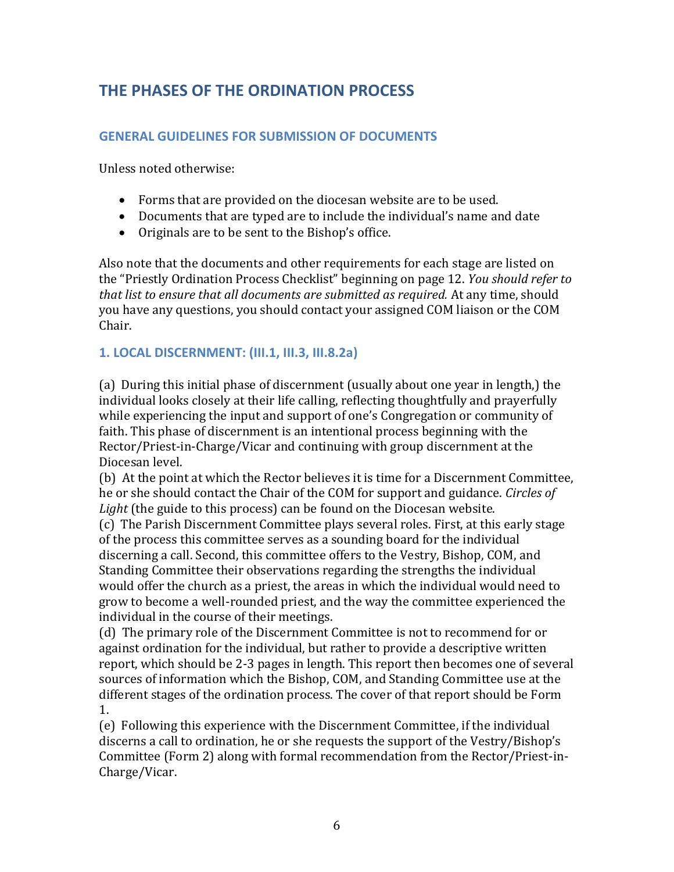# **THE PHASES OF THE ORDINATION PROCESS**

#### **GENERAL GUIDELINES FOR SUBMISSION OF DOCUMENTS**

Unless noted otherwise:

- Forms that are provided on the diocesan website are to be used.
- Documents that are typed are to include the individual's name and date
- Originals are to be sent to the Bishop's office.

Also note that the documents and other requirements for each stage are listed on the "Priestly Ordination Process Checklist" beginning on page 12. *You should refer to that list to ensure that all documents are submitted as required.* At any time, should you have any questions, you should contact your assigned COM liaison or the COM Chair.

#### **1. LOCAL DISCERNMENT: (III.1, III.3, III.8.2a)**

(a) During this initial phase of discernment (usually about one year in length,) the individual looks closely at their life calling, reflecting thoughtfully and prayerfully while experiencing the input and support of one's Congregation or community of faith. This phase of discernment is an intentional process beginning with the Rector/Priest-in-Charge/Vicar and continuing with group discernment at the Diocesan level.

(b) At the point at which the Rector believes it is time for a Discernment Committee, he or she should contact the Chair of the COM for support and guidance. *Circles of Light* (the guide to this process) can be found on the Diocesan website.

(c) The Parish Discernment Committee plays several roles. First, at this early stage of the process this committee serves as a sounding board for the individual discerning a call. Second, this committee offers to the Vestry, Bishop, COM, and Standing Committee their observations regarding the strengths the individual would offer the church as a priest, the areas in which the individual would need to grow to become a well-rounded priest, and the way the committee experienced the individual in the course of their meetings.

(d) The primary role of the Discernment Committee is not to recommend for or against ordination for the individual, but rather to provide a descriptive written report, which should be 2-3 pages in length. This report then becomes one of several sources of information which the Bishop, COM, and Standing Committee use at the different stages of the ordination process. The cover of that report should be Form 1.

(e) Following this experience with the Discernment Committee, if the individual discerns a call to ordination, he or she requests the support of the Vestry/Bishop's Committee (Form 2) along with formal recommendation from the Rector/Priest-in-Charge/Vicar.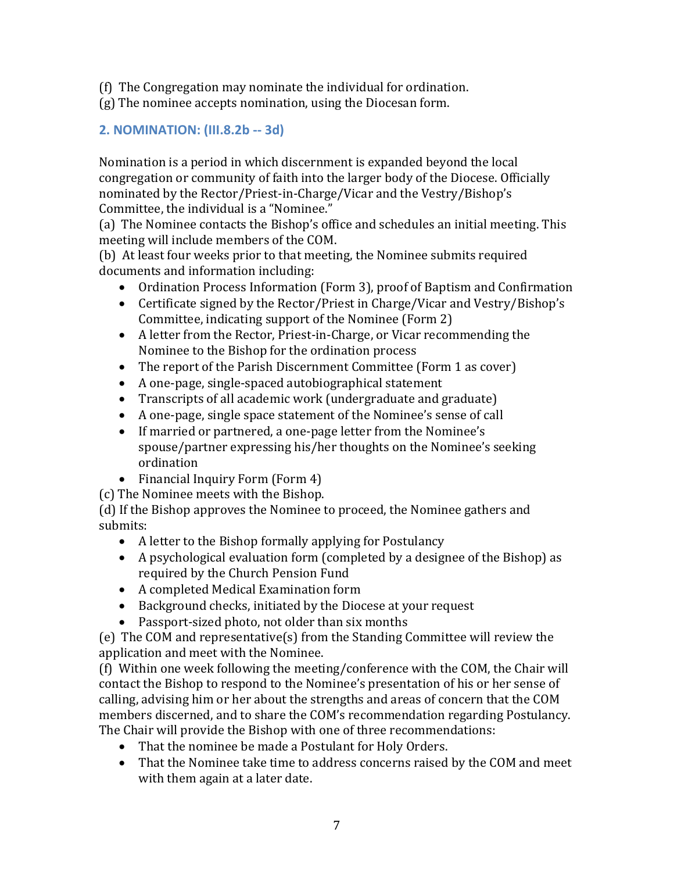- (f) The Congregation may nominate the individual for ordination.
- (g) The nominee accepts nomination, using the Diocesan form.

# **2. NOMINATION: (III.8.2b -- 3d)**

Nomination is a period in which discernment is expanded beyond the local congregation or community of faith into the larger body of the Diocese. Officially nominated by the Rector/Priest-in-Charge/Vicar and the Vestry/Bishop's Committee, the individual is a "Nominee."

(a) The Nominee contacts the Bishop's office and schedules an initial meeting. This meeting will include members of the COM.

(b) At least four weeks prior to that meeting, the Nominee submits required documents and information including:

- Ordination Process Information (Form 3), proof of Baptism and Confirmation
- Certificate signed by the Rector/Priest in Charge/Vicar and Vestry/Bishop's Committee, indicating support of the Nominee (Form 2)
- A letter from the Rector, Priest-in-Charge, or Vicar recommending the Nominee to the Bishop for the ordination process
- The report of the Parish Discernment Committee (Form 1 as cover)
- A one-page, single-spaced autobiographical statement
- Transcripts of all academic work (undergraduate and graduate)
- A one-page, single space statement of the Nominee's sense of call
- If married or partnered, a one-page letter from the Nominee's spouse/partner expressing his/her thoughts on the Nominee's seeking ordination
- Financial Inquiry Form (Form 4)

(c) The Nominee meets with the Bishop.

(d) If the Bishop approves the Nominee to proceed, the Nominee gathers and submits:

- A letter to the Bishop formally applying for Postulancy
- A psychological evaluation form (completed by a designee of the Bishop) as required by the Church Pension Fund
- A completed Medical Examination form
- Background checks, initiated by the Diocese at your request
- Passport-sized photo, not older than six months

(e) The COM and representative(s) from the Standing Committee will review the application and meet with the Nominee.

(f) Within one week following the meeting/conference with the COM, the Chair will contact the Bishop to respond to the Nominee's presentation of his or her sense of calling, advising him or her about the strengths and areas of concern that the COM members discerned, and to share the COM's recommendation regarding Postulancy. The Chair will provide the Bishop with one of three recommendations:

- That the nominee be made a Postulant for Holy Orders.
- That the Nominee take time to address concerns raised by the COM and meet with them again at a later date.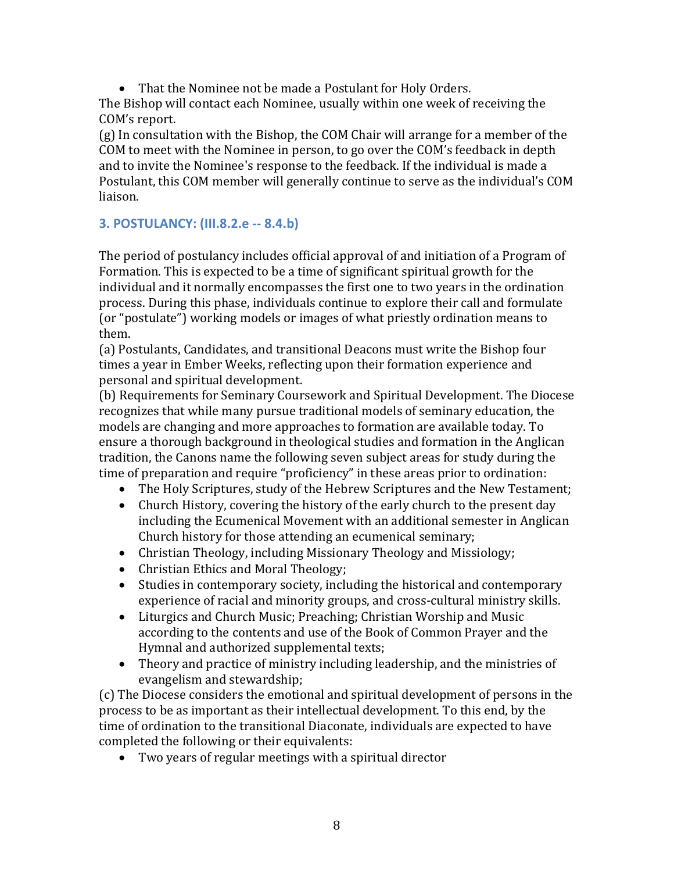• That the Nominee not be made a Postulant for Holy Orders.

The Bishop will contact each Nominee, usually within one week of receiving the COM's report.

(g) In consultation with the Bishop, the COM Chair will arrange for a member of the COM to meet with the Nominee in person, to go over the COM's feedback in depth and to invite the Nominee's response to the feedback. If the individual is made a Postulant, this COM member will generally continue to serve as the individual's COM liaison.

# **3. POSTULANCY: (III.8.2.e -- 8.4.b)**

The period of postulancy includes official approval of and initiation of a Program of Formation. This is expected to be a time of significant spiritual growth for the individual and it normally encompasses the first one to two years in the ordination process. During this phase, individuals continue to explore their call and formulate (or "postulate") working models or images of what priestly ordination means to them.

(a) Postulants, Candidates, and transitional Deacons must write the Bishop four times a year in Ember Weeks, reflecting upon their formation experience and personal and spiritual development.

(b) Requirements for Seminary Coursework and Spiritual Development. The Diocese recognizes that while many pursue traditional models of seminary education, the models are changing and more approaches to formation are available today. To ensure a thorough background in theological studies and formation in the Anglican tradition, the Canons name the following seven subject areas for study during the time of preparation and require "proficiency" in these areas prior to ordination:

- The Holy Scriptures, study of the Hebrew Scriptures and the New Testament;
- Church History, covering the history of the early church to the present day including the Ecumenical Movement with an additional semester in Anglican Church history for those attending an ecumenical seminary;
- Christian Theology, including Missionary Theology and Missiology;
- Christian Ethics and Moral Theology;
- Studies in contemporary society, including the historical and contemporary experience of racial and minority groups, and cross-cultural ministry skills.
- Liturgics and Church Music; Preaching; Christian Worship and Music according to the contents and use of the Book of Common Prayer and the Hymnal and authorized supplemental texts;
- Theory and practice of ministry including leadership, and the ministries of evangelism and stewardship;

(c) The Diocese considers the emotional and spiritual development of persons in the process to be as important as their intellectual development. To this end, by the time of ordination to the transitional Diaconate, individuals are expected to have completed the following or their equivalents:

Two years of regular meetings with a spiritual director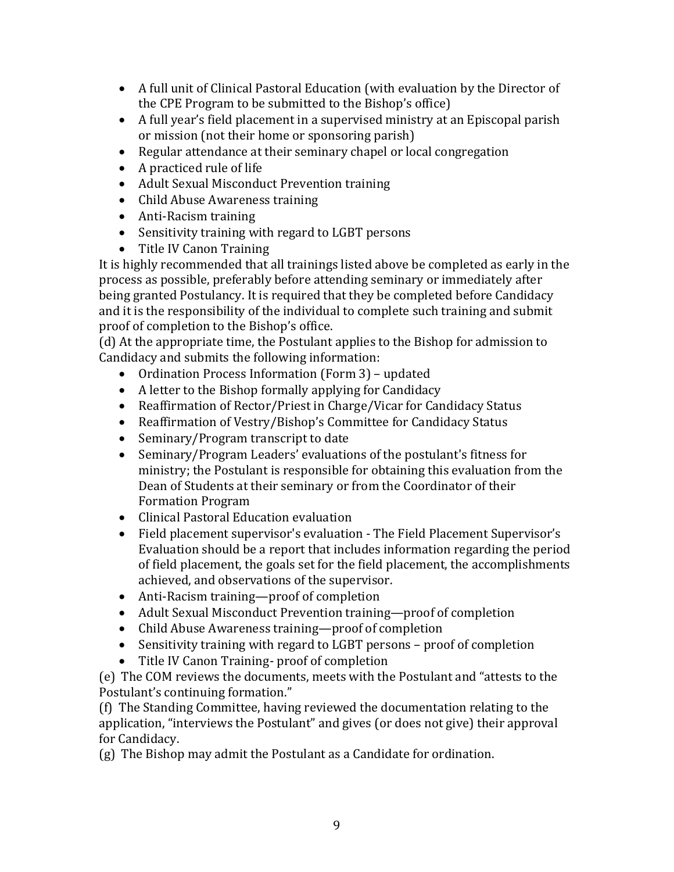- A full unit of Clinical Pastoral Education (with evaluation by the Director of the CPE Program to be submitted to the Bishop's office)
- A full year's field placement in a supervised ministry at an Episcopal parish or mission (not their home or sponsoring parish)
- Regular attendance at their seminary chapel or local congregation
- A practiced rule of life
- Adult Sexual Misconduct Prevention training
- Child Abuse Awareness training
- Anti-Racism training
- Sensitivity training with regard to LGBT persons
- Title IV Canon Training

It is highly recommended that all trainings listed above be completed as early in the process as possible, preferably before attending seminary or immediately after being granted Postulancy. It is required that they be completed before Candidacy and it is the responsibility of the individual to complete such training and submit proof of completion to the Bishop's office.

(d) At the appropriate time, the Postulant applies to the Bishop for admission to Candidacy and submits the following information:

- Ordination Process Information (Form 3) updated
- A letter to the Bishop formally applying for Candidacy
- Reaffirmation of Rector/Priest in Charge/Vicar for Candidacy Status
- Reaffirmation of Vestry/Bishop's Committee for Candidacy Status
- Seminary/Program transcript to date
- Seminary/Program Leaders' evaluations of the postulant's fitness for ministry; the Postulant is responsible for obtaining this evaluation from the Dean of Students at their seminary or from the Coordinator of their Formation Program
- Clinical Pastoral Education evaluation
- Field placement supervisor's evaluation The Field Placement Supervisor's Evaluation should be a report that includes information regarding the period of field placement, the goals set for the field placement, the accomplishments achieved, and observations of the supervisor.
- Anti-Racism training—proof of completion
- Adult Sexual Misconduct Prevention training—proof of completion
- Child Abuse Awareness training—proof of completion
- Sensitivity training with regard to LGBT persons proof of completion
- Title IV Canon Training- proof of completion

(e) The COM reviews the documents, meets with the Postulant and "attests to the Postulant's continuing formation."

(f) The Standing Committee, having reviewed the documentation relating to the application, "interviews the Postulant" and gives (or does not give) their approval for Candidacy.

(g) The Bishop may admit the Postulant as a Candidate for ordination.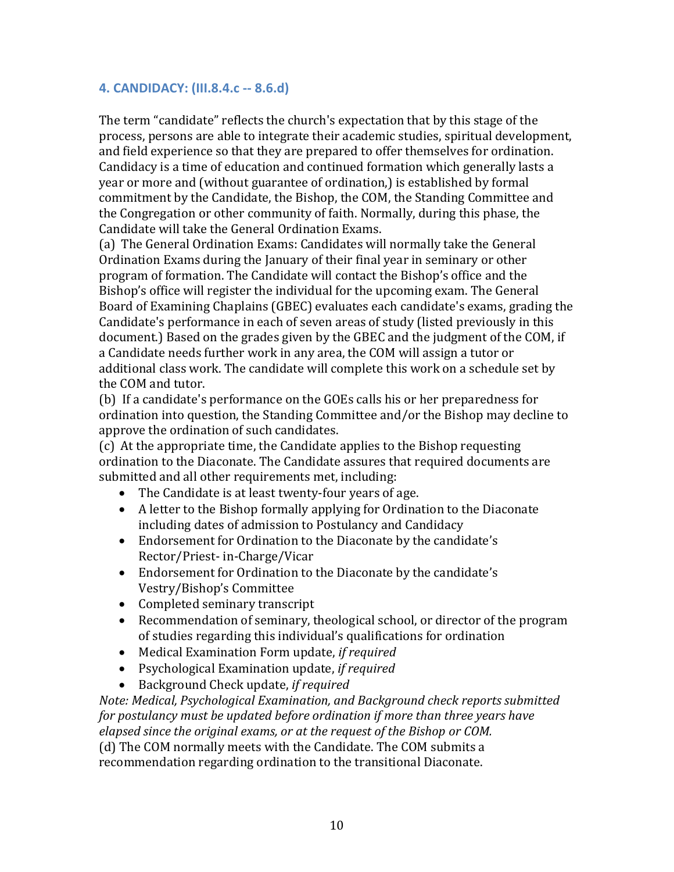#### **4. CANDIDACY: (III.8.4.c -- 8.6.d)**

The term "candidate" reflects the church's expectation that by this stage of the process, persons are able to integrate their academic studies, spiritual development, and field experience so that they are prepared to offer themselves for ordination. Candidacy is a time of education and continued formation which generally lasts a year or more and (without guarantee of ordination,) is established by formal commitment by the Candidate, the Bishop, the COM, the Standing Committee and the Congregation or other community of faith. Normally, during this phase, the Candidate will take the General Ordination Exams.

(a) The General Ordination Exams: Candidates will normally take the General Ordination Exams during the January of their final year in seminary or other program of formation. The Candidate will contact the Bishop's office and the Bishop's office will register the individual for the upcoming exam. The General Board of Examining Chaplains (GBEC) evaluates each candidate's exams, grading the Candidate's performance in each of seven areas of study (listed previously in this document.) Based on the grades given by the GBEC and the judgment of the COM, if a Candidate needs further work in any area, the COM will assign a tutor or additional class work. The candidate will complete this work on a schedule set by the COM and tutor.

(b) If a candidate's performance on the GOEs calls his or her preparedness for ordination into question, the Standing Committee and/or the Bishop may decline to approve the ordination of such candidates.

(c) At the appropriate time, the Candidate applies to the Bishop requesting ordination to the Diaconate. The Candidate assures that required documents are submitted and all other requirements met, including:

- The Candidate is at least twenty-four years of age.
- A letter to the Bishop formally applying for Ordination to the Diaconate including dates of admission to Postulancy and Candidacy
- Endorsement for Ordination to the Diaconate by the candidate's Rector/Priest- in-Charge/Vicar
- Endorsement for Ordination to the Diaconate by the candidate's Vestry/Bishop's Committee
- Completed seminary transcript
- Recommendation of seminary, theological school, or director of the program of studies regarding this individual's qualifications for ordination
- Medical Examination Form update, *if required*
- Psychological Examination update, *if required*
- Background Check update, *if required*

*Note: Medical, Psychological Examination, and Background check reports submitted for postulancy must be updated before ordination if more than three years have elapsed since the original exams, or at the request of the Bishop or COM.* (d) The COM normally meets with the Candidate. The COM submits a recommendation regarding ordination to the transitional Diaconate.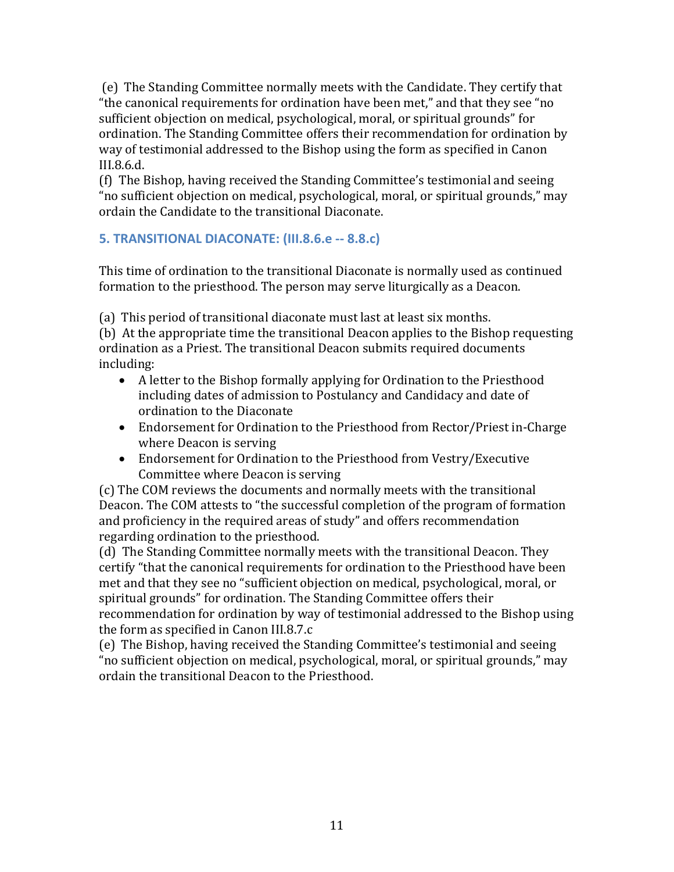(e) The Standing Committee normally meets with the Candidate. They certify that "the canonical requirements for ordination have been met," and that they see "no sufficient objection on medical, psychological, moral, or spiritual grounds" for ordination. The Standing Committee offers their recommendation for ordination by way of testimonial addressed to the Bishop using the form as specified in Canon III.8.6.d.

(f) The Bishop, having received the Standing Committee's testimonial and seeing "no sufficient objection on medical, psychological, moral, or spiritual grounds," may ordain the Candidate to the transitional Diaconate.

## **5. TRANSITIONAL DIACONATE: (III.8.6.e -- 8.8.c)**

This time of ordination to the transitional Diaconate is normally used as continued formation to the priesthood. The person may serve liturgically as a Deacon.

(a) This period of transitional diaconate must last at least six months.

(b) At the appropriate time the transitional Deacon applies to the Bishop requesting ordination as a Priest. The transitional Deacon submits required documents including:

- A letter to the Bishop formally applying for Ordination to the Priesthood including dates of admission to Postulancy and Candidacy and date of ordination to the Diaconate
- Endorsement for Ordination to the Priesthood from Rector/Priest in-Charge where Deacon is serving
- Endorsement for Ordination to the Priesthood from Vestry/Executive Committee where Deacon is serving

(c) The COM reviews the documents and normally meets with the transitional Deacon. The COM attests to "the successful completion of the program of formation and proficiency in the required areas of study" and offers recommendation regarding ordination to the priesthood.

(d) The Standing Committee normally meets with the transitional Deacon. They certify "that the canonical requirements for ordination to the Priesthood have been met and that they see no "sufficient objection on medical, psychological, moral, or spiritual grounds" for ordination. The Standing Committee offers their recommendation for ordination by way of testimonial addressed to the Bishop using the form as specified in Canon III.8.7.c

(e) The Bishop, having received the Standing Committee's testimonial and seeing "no sufficient objection on medical, psychological, moral, or spiritual grounds," may ordain the transitional Deacon to the Priesthood.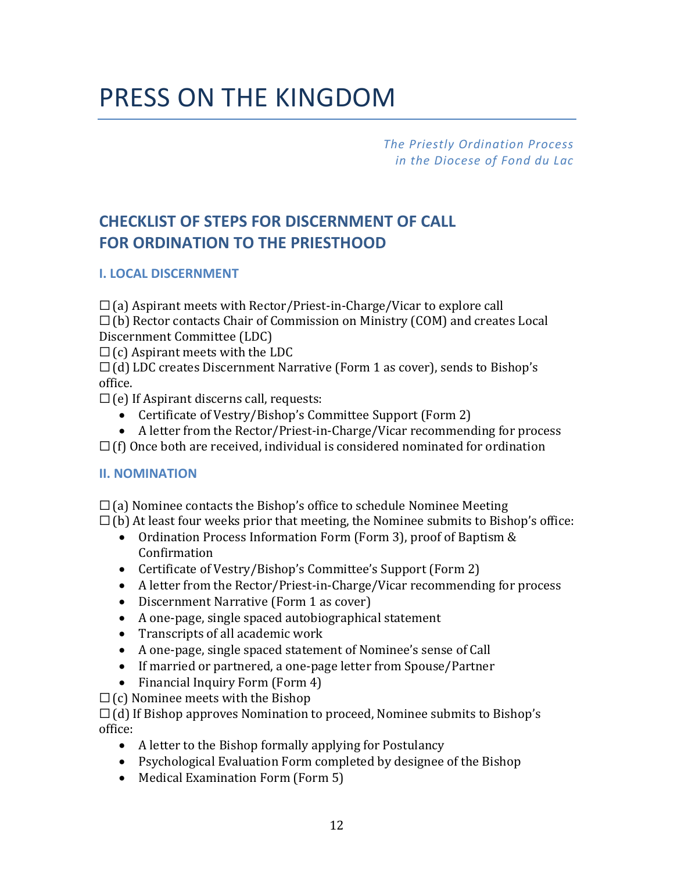# PRESS ON THE KINGDOM

*The Priestly Ordination Process in the Diocese of Fond du Lac*

# **CHECKLIST OF STEPS FOR DISCERNMENT OF CALL FOR ORDINATION TO THE PRIESTHOOD**

## **I. LOCAL DISCERNMENT**

 $\Box$  (a) Aspirant meets with Rector/Priest-in-Charge/Vicar to explore call

☐ (b) Rector contacts Chair of Commission on Ministry (COM) and creates Local Discernment Committee (LDC)

 $\Box$  (c) Aspirant meets with the LDC

 $\Box$  (d) LDC creates Discernment Narrative (Form 1 as cover), sends to Bishop's office.

 $\square$  (e) If Aspirant discerns call, requests:

- Certificate of Vestry/Bishop's Committee Support (Form 2)
- A letter from the Rector/Priest-in-Charge/Vicar recommending for process

 $\Box$  (f) Once both are received, individual is considered nominated for ordination

## **II. NOMINATION**

 $\square$  (a) Nominee contacts the Bishop's office to schedule Nominee Meeting

- $\square$  (b) At least four weeks prior that meeting, the Nominee submits to Bishop's office:
	- Ordination Process Information Form (Form 3), proof of Baptism & Confirmation
	- Certificate of Vestry/Bishop's Committee's Support (Form 2)
	- A letter from the Rector/Priest-in-Charge/Vicar recommending for process
	- Discernment Narrative (Form 1 as cover)
	- A one-page, single spaced autobiographical statement
	- Transcripts of all academic work
	- A one-page, single spaced statement of Nominee's sense of Call
	- If married or partnered, a one-page letter from Spouse/Partner
	- Financial Inquiry Form (Form 4)

 $\Box$  (c) Nominee meets with the Bishop

 $\Box$  (d) If Bishop approves Nomination to proceed, Nominee submits to Bishop's office:

- A letter to the Bishop formally applying for Postulancy
- Psychological Evaluation Form completed by designee of the Bishop
- Medical Examination Form (Form 5)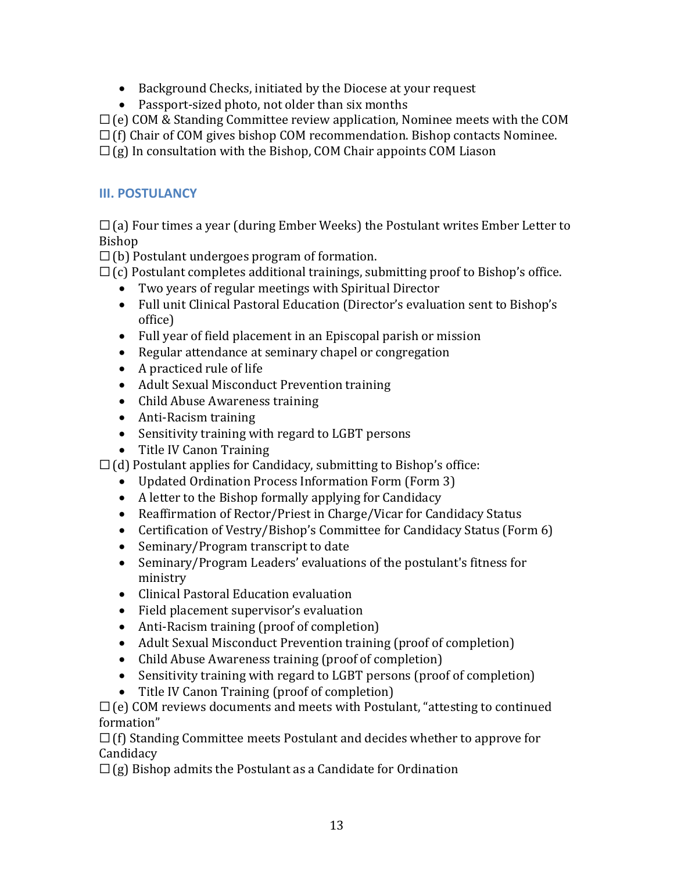- Background Checks, initiated by the Diocese at your request
- Passport-sized photo, not older than six months

 $\Box$  (e) COM & Standing Committee review application, Nominee meets with the COM

 $\Box$  (f) Chair of COM gives bishop COM recommendation. Bishop contacts Nominee.

 $\square$  (g) In consultation with the Bishop, COM Chair appoints COM Liason

# **III. POSTULANCY**

 $\Box$  (a) Four times a year (during Ember Weeks) the Postulant writes Ember Letter to Bishop

 $\Box$  (b) Postulant undergoes program of formation.

 $\Box$  (c) Postulant completes additional trainings, submitting proof to Bishop's office.

- Two years of regular meetings with Spiritual Director
- Full unit Clinical Pastoral Education (Director's evaluation sent to Bishop's office)
- Full year of field placement in an Episcopal parish or mission
- Regular attendance at seminary chapel or congregation
- A practiced rule of life
- Adult Sexual Misconduct Prevention training
- Child Abuse Awareness training
- Anti-Racism training
- Sensitivity training with regard to LGBT persons
- Title IV Canon Training

 $\Box$  (d) Postulant applies for Candidacy, submitting to Bishop's office:

- Updated Ordination Process Information Form (Form 3)
- A letter to the Bishop formally applying for Candidacy
- Reaffirmation of Rector/Priest in Charge/Vicar for Candidacy Status
- Certification of Vestry/Bishop's Committee for Candidacy Status (Form 6)
- Seminary/Program transcript to date
- Seminary/Program Leaders' evaluations of the postulant's fitness for ministry
- Clinical Pastoral Education evaluation
- Field placement supervisor's evaluation
- Anti-Racism training (proof of completion)
- Adult Sexual Misconduct Prevention training (proof of completion)
- Child Abuse Awareness training (proof of completion)
- Sensitivity training with regard to LGBT persons (proof of completion)
- Title IV Canon Training (proof of completion)

 $\square$  (e) COM reviews documents and meets with Postulant, "attesting to continued formation"

 $\Box$  (f) Standing Committee meets Postulant and decides whether to approve for **Candidacy** 

 $\square$  (g) Bishop admits the Postulant as a Candidate for Ordination